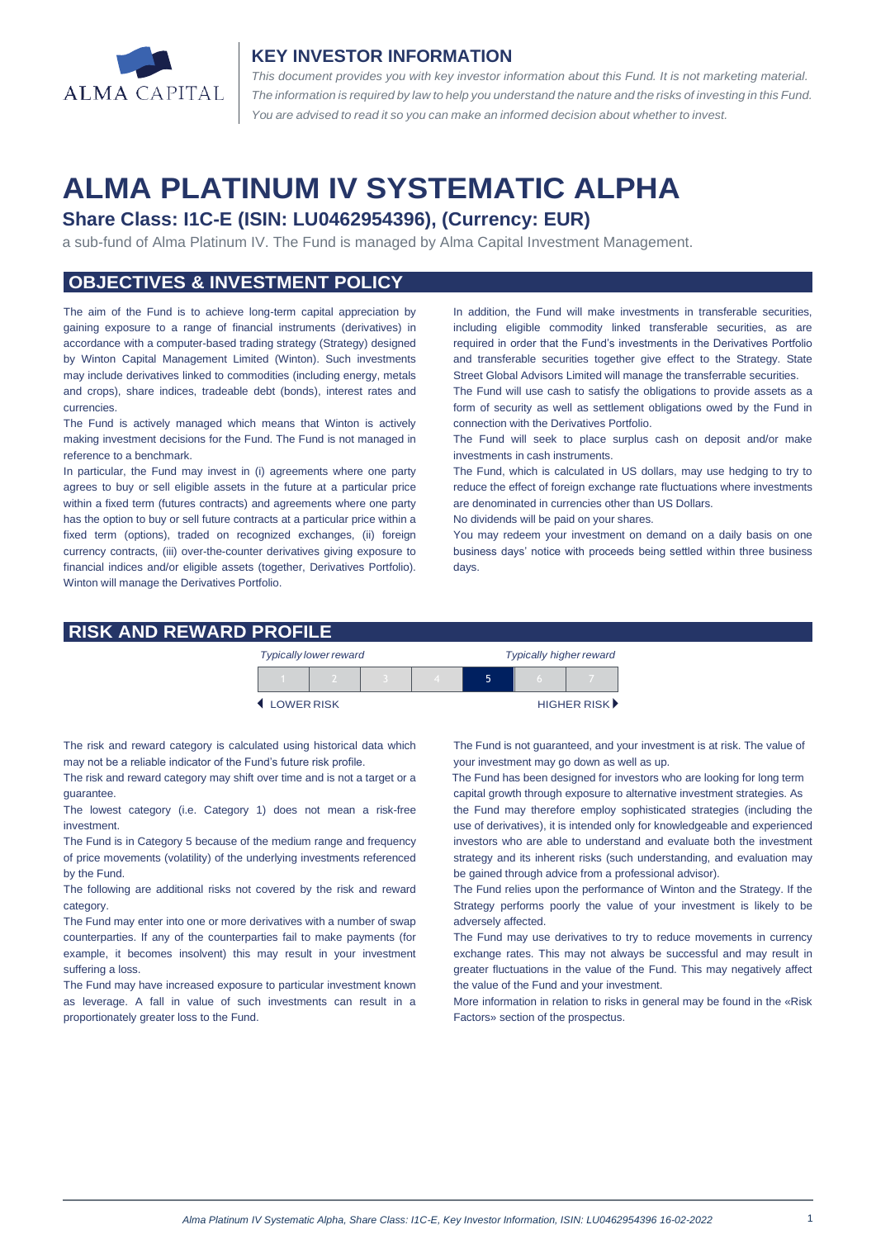

#### **KEY INVESTOR INFORMATION**

*This document provides you with key investor information about this Fund. It is not marketing material.*  The information is required by law to help you understand the nature and the risks of investing in this Fund. *You are advised to read it so you can make an informed decision about whether to invest.*

# **ALMA PLATINUM IV SYSTEMATIC ALPHA**

## **Share Class: I1C-E (ISIN: LU0462954396), (Currency: EUR)**

a sub-fund of Alma Platinum IV. The Fund is managed by Alma Capital Investment Management.

## **OBJECTIVES & INVESTMENT POLICY**

The aim of the Fund is to achieve long-term capital appreciation by gaining exposure to a range of financial instruments (derivatives) in accordance with a computer-based trading strategy (Strategy) designed by Winton Capital Management Limited (Winton). Such investments may include derivatives linked to commodities (including energy, metals and crops), share indices, tradeable debt (bonds), interest rates and currencies.

The Fund is actively managed which means that Winton is actively making investment decisions for the Fund. The Fund is not managed in reference to a benchmark.

In particular, the Fund may invest in (i) agreements where one party agrees to buy or sell eligible assets in the future at a particular price within a fixed term (futures contracts) and agreements where one party has the option to buy or sell future contracts at a particular price within a fixed term (options), traded on recognized exchanges, (ii) foreign currency contracts, (iii) over-the-counter derivatives giving exposure to financial indices and/or eligible assets (together, Derivatives Portfolio). Winton will manage the Derivatives Portfolio.

In addition, the Fund will make investments in transferable securities, including eligible commodity linked transferable securities, as are required in order that the Fund's investments in the Derivatives Portfolio and transferable securities together give effect to the Strategy. State Street Global Advisors Limited will manage the transferrable securities.

The Fund will use cash to satisfy the obligations to provide assets as a form of security as well as settlement obligations owed by the Fund in connection with the Derivatives Portfolio.

The Fund will seek to place surplus cash on deposit and/or make investments in cash instruments.

The Fund, which is calculated in US dollars, may use hedging to try to reduce the effect of foreign exchange rate fluctuations where investments are denominated in currencies other than US Dollars.

No dividends will be paid on your shares.

You may redeem your investment on demand on a daily basis on one business days' notice with proceeds being settled within three business days.

### **RISK AND REWARD PROFILE**

|            | <b>Typically lower reward</b> |  | <b>Typically higher reward</b> |  |  |                             |
|------------|-------------------------------|--|--------------------------------|--|--|-----------------------------|
|            |                               |  |                                |  |  |                             |
| LOWER RISK |                               |  |                                |  |  | HIGHER RISK <sup>&gt;</sup> |

The risk and reward category is calculated using historical data which may not be a reliable indicator of the Fund's future risk profile.

The risk and reward category may shift over time and is not a target or a guarantee.

The lowest category (i.e. Category 1) does not mean a risk-free investment.

The Fund is in Category 5 because of the medium range and frequency of price movements (volatility) of the underlying investments referenced by the Fund.

The following are additional risks not covered by the risk and reward category.

The Fund may enter into one or more derivatives with a number of swap counterparties. If any of the counterparties fail to make payments (for example, it becomes insolvent) this may result in your investment suffering a loss.

The Fund may have increased exposure to particular investment known as leverage. A fall in value of such investments can result in a proportionately greater loss to the Fund.

The Fund is not guaranteed, and your investment is at risk. The value of your investment may go down as well as up.

 The Fund has been designed for investors who are looking for long term capital growth through exposure to alternative investment strategies. As

the Fund may therefore employ sophisticated strategies (including the use of derivatives), it is intended only for knowledgeable and experienced investors who are able to understand and evaluate both the investment strategy and its inherent risks (such understanding, and evaluation may be gained through advice from a professional advisor).

The Fund relies upon the performance of Winton and the Strategy. If the Strategy performs poorly the value of your investment is likely to be adversely affected.

The Fund may use derivatives to try to reduce movements in currency exchange rates. This may not always be successful and may result in greater fluctuations in the value of the Fund. This may negatively affect the value of the Fund and your investment.

More information in relation to risks in general may be found in the «Risk Factors» section of the prospectus.